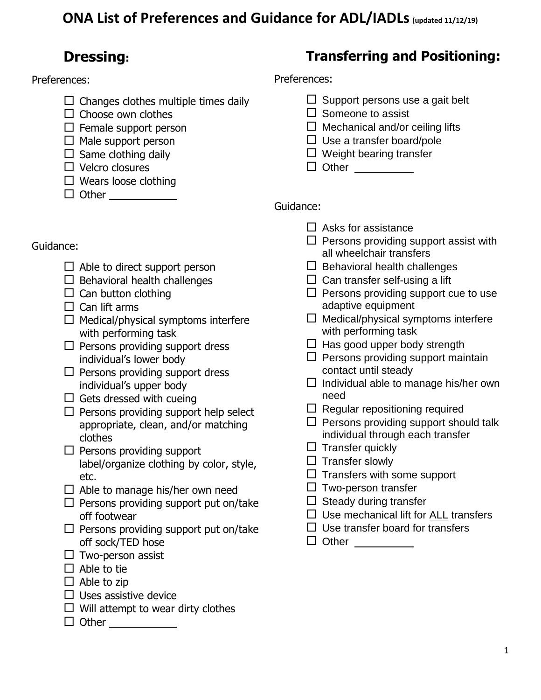## **ONA List of Preferences and Guidance for ADL/IADLs(updated 11/12/19)**

### **Dressing:**

#### Preferences:

- $\Box$  Changes clothes multiple times daily
- $\Box$  Choose own clothes
- $\square$  Female support person
- $\Box$  Male support person
- $\square$  Same clothing daily
- $\Box$  Velcro closures
- $\Box$  Wears loose clothing
- Other

### **Transferring and Positioning:**

Preferences:

- $\Box$  Support persons use a gait belt
- $\square$  Someone to assist
- $\Box$  Mechanical and/or ceiling lifts
- $\Box$  Use a transfer board/pole
- $\Box$  Weight bearing transfer
- □ Other \_\_\_\_\_\_\_\_

- Guidance:
	- $\Box$  Able to direct support person
	- $\Box$  Behavioral health challenges
	- $\Box$  Can button clothing
	- $\Box$  Can lift arms
	- $\Box$  Medical/physical symptoms interfere with performing task
	- $\square$  Persons providing support dress individual's lower body
	- $\square$  Persons providing support dress individual's upper body
	- $\Box$  Gets dressed with cueing
	- $\Box$  Persons providing support help select appropriate, clean, and/or matching clothes
	- $\Box$  Persons providing support label/organize clothing by color, style, etc.
	- $\Box$  Able to manage his/her own need
	- $\Box$  Persons providing support put on/take off footwear
	- $\square$  Persons providing support put on/take off sock/TED hose
	- $\Box$  Two-person assist
	- $\Box$  Able to tie
	- $\Box$  Able to zip
	- $\Box$  Uses assistive device
	- $\Box$  Will attempt to wear dirty clothes
	- □ Other <u>\_\_\_\_\_\_\_\_\_\_\_\_\_</u>
- $\Box$  Asks for assistance
- $\square$  Persons providing support assist with all wheelchair transfers
- $\Box$  Behavioral health challenges
- $\Box$  Can transfer self-using a lift
- $\Box$  Persons providing support cue to use adaptive equipment
- $\Box$  Medical/physical symptoms interfere with performing task
- $\Box$  Has good upper body strength
- $\square$  Persons providing support maintain contact until steady
- $\Box$  Individual able to manage his/her own need
- $\Box$  Regular repositioning required
- $\square$  Persons providing support should talk individual through each transfer
- $\Box$  Transfer quickly
- $\square$  Transfer slowly
- $\Box$  Transfers with some support
- $\square$  Two-person transfer
- $\Box$  Steady during transfer
- $\square$  Use mechanical lift for ALL transfers
- $\Box$  Use transfer board for transfers
- $\Box$  Other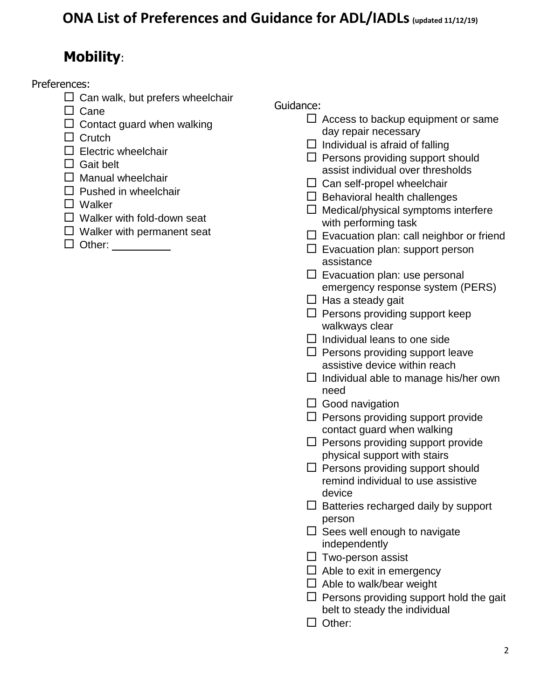# **Mobility**:

Preferences:

- $\Box$  Can walk, but prefers wheelchair
- $\Box$  Cane
- $\Box$  Contact guard when walking

 $\Box$  Crutch

 $\square$  Electric wheelchair

 $\Box$  Gait belt

- $\Box$  Manual wheelchair
- $\Box$  Pushed in wheelchair
- □ Walker
- $\Box$  Walker with fold-down seat
- $\Box$  Walker with permanent seat
- □ Other: \_\_\_\_\_\_

- $\Box$  Access to backup equipment or same day repair necessary
- $\Box$  Individual is afraid of falling
- $\Box$  Persons providing support should assist individual over thresholds
- $\Box$  Can self-propel wheelchair
- $\Box$  Behavioral health challenges
- $\Box$  Medical/physical symptoms interfere with performing task
- $\Box$  Evacuation plan: call neighbor or friend
- $\square$  Evacuation plan: support person assistance
- $\square$  Evacuation plan: use personal emergency response system (PERS)
- $\Box$  Has a steady gait
- $\square$  Persons providing support keep walkways clear
- $\Box$  Individual leans to one side
- $\Box$  Persons providing support leave assistive device within reach
- $\Box$  Individual able to manage his/her own need
- $\Box$  Good navigation
- $\Box$  Persons providing support provide contact guard when walking
- $\Box$  Persons providing support provide physical support with stairs
- $\Box$  Persons providing support should remind individual to use assistive device
- $\Box$  Batteries recharged daily by support person
- $\Box$  Sees well enough to navigate independently
- $\Box$  Two-person assist
- $\Box$  Able to exit in emergency
- $\Box$  Able to walk/bear weight
- $\Box$  Persons providing support hold the gait belt to steady the individual
- $\Box$  Other: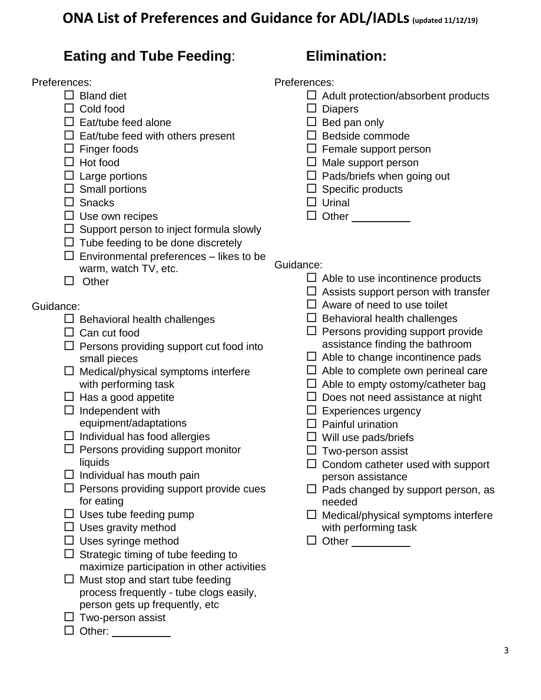### **ONA List of Preferences and Guidance for ADL/IADLs(updated 11/12/19)**

### **Eating and Tube Feeding**:

#### Preferences:

- $\Box$  Bland diet
- Cold food
- $\Box$  Eat/tube feed alone
- $\Box$  Eat/tube feed with others present
- $\square$  Finger foods
- $\Box$  Hot food
- $\square$  Large portions
- $\square$  Small portions
- $\square$  Snacks
- $\square$  Use own recipes
- $\Box$  Support person to inject formula slowly
- $\Box$  Tube feeding to be done discretely
- $\square$  Environmental preferences likes to be warm, watch TV, etc.
- $\Box$  Other

#### Guidance:

- $\Box$  Behavioral health challenges
- $\Box$  Can cut food
- $\Box$  Persons providing support cut food into small pieces
- $\Box$  Medical/physical symptoms interfere with performing task
- $\Box$  Has a good appetite
- $\Box$  Independent with equipment/adaptations
- $\Box$  Individual has food allergies
- $\Box$  Persons providing support monitor liquids
- $\square$  Individual has mouth pain
- $\Box$  Persons providing support provide cues for eating
- $\Box$  Uses tube feeding pump
- $\square$  Uses gravity method
- $\square$  Uses syringe method
- $\Box$  Strategic timing of tube feeding to maximize participation in other activities
- $\Box$  Must stop and start tube feeding process frequently - tube clogs easily, person gets up frequently, etc
- $\square$  Two-person assist
- $\Box$  Other:

## **Elimination:**

Preferences:

- $\Box$  Adult protection/absorbent products
- $\square$  Diapers
- $\Box$  Bed pan only
- $\square$  Bedside commode
- $\Box$  Female support person
- $\Box$  Male support person
- $\Box$  Pads/briefs when going out
- $\Box$  Specific products
- $\Box$  Urinal

 $\Box$  Other  $\_\_\_\_\_\_\_\_\_\_\_\_\_\_$ 

- $\Box$  Able to use incontinence products
- $\Box$  Assists support person with transfer
- $\Box$  Aware of need to use toilet
- $\Box$  Behavioral health challenges
- $\Box$  Persons providing support provide assistance finding the bathroom
- $\Box$  Able to change incontinence pads
- $\Box$  Able to complete own perineal care
- $\Box$  Able to empty ostomy/catheter bag
- $\square$  Does not need assistance at night
- $\square$  Experiences urgency
- $\Box$  Painful urination
- $\square$  Will use pads/briefs
- $\square$  Two-person assist
- $\Box$  Condom catheter used with support person assistance
- $\Box$  Pads changed by support person, as needed
- $\Box$  Medical/physical symptoms interfere with performing task
- Other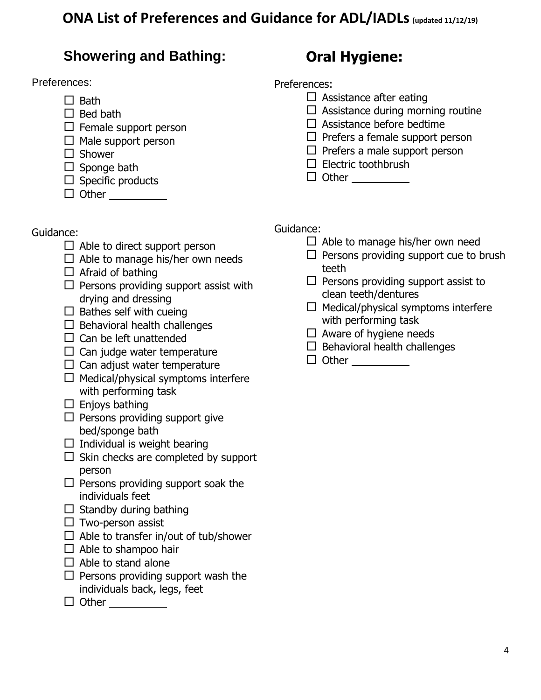### **ONA List of Preferences and Guidance for ADL/IADLs(updated 11/12/19)**

### **Showering and Bathing:**

#### Preferences:

- $\Box$  Bath
- $\Box$  Bed bath
- $\square$  Female support person
- $\Box$  Male support person
- $\square$  Shower
- $\square$  Sponge bath
- $\Box$  Specific products
- $\Box$  Other

# **Oral Hygiene:**

Preferences:

- $\square$  Assistance after eating
- $\Box$  Assistance during morning routine
- $\square$  Assistance before bedtime
- $\Box$  Prefers a female support person
- $\Box$  Prefers a male support person
- $\square$  Electric toothbrush
- □ Other <u>\_\_\_\_\_\_\_</u>

Guidance:

- $\Box$  Able to direct support person
- $\Box$  Able to manage his/her own needs
- $\Box$  Afraid of bathing
- $\Box$  Persons providing support assist with drying and dressing
- $\square$  Bathes self with cueing
- $\Box$  Behavioral health challenges
- $\Box$  Can be left unattended
- $\Box$  Can judge water temperature
- $\Box$  Can adjust water temperature
- $\Box$  Medical/physical symptoms interfere with performing task
- $\Box$  Enjoys bathing
- $\Box$  Persons providing support give bed/sponge bath
- $\Box$  Individual is weight bearing
- $\Box$  Skin checks are completed by support person
- $\Box$  Persons providing support soak the individuals feet
- $\Box$  Standby during bathing
- $\square$  Two-person assist
- $\Box$  Able to transfer in/out of tub/shower
- $\Box$  Able to shampoo hair
- $\Box$  Able to stand alone
- $\Box$  Persons providing support wash the individuals back, legs, feet
- $\Box$  Other  $\_\_\_\_\_\_\_\_\_\_\_\_\_\_$

- $\Box$  Able to manage his/her own need
- $\Box$  Persons providing support cue to brush teeth
- $\Box$  Persons providing support assist to clean teeth/dentures
- $\Box$  Medical/physical symptoms interfere with performing task
- $\Box$  Aware of hygiene needs
- $\Box$  Behavioral health challenges
- $\Box$  Other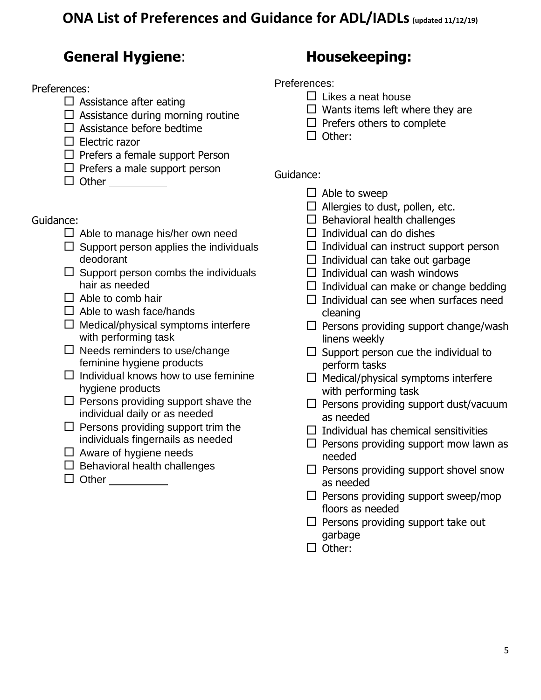## **General Hygiene**:

Preferences:

- $\Box$  Assistance after eating
- $\Box$  Assistance during morning routine
- $\square$  Assistance before bedtime
- $\Box$  Electric razor
- $\Box$  Prefers a female support Person
- $\Box$  Prefers a male support person
- $\Box$  Other

#### Guidance:

- $\Box$  Able to manage his/her own need
- $\Box$  Support person applies the individuals deodorant
- $\Box$  Support person combs the individuals hair as needed
- $\Box$  Able to comb hair
- $\Box$  Able to wash face/hands
- $\Box$  Medical/physical symptoms interfere with performing task
- $\square$  Needs reminders to use/change feminine hygiene products
- $\Box$  Individual knows how to use feminine hygiene products
- $\square$  Persons providing support shave the individual daily or as needed
- $\Box$  Persons providing support trim the individuals fingernails as needed
- $\Box$  Aware of hygiene needs
- $\square$  Behavioral health challenges
- □ Other \_\_\_\_\_\_\_\_

## **Housekeeping:**

Preferences:

- $\Box$  Likes a neat house
- $\Box$  Wants items left where they are
- $\Box$  Prefers others to complete
- $\Box$  Other:

- $\Box$  Able to sweep
- $\Box$  Allergies to dust, pollen, etc.
- $\square$  Behavioral health challenges
- $\Box$  Individual can do dishes
- $\Box$  Individual can instruct support person
- $\Box$  Individual can take out garbage
- $\Box$  Individual can wash windows
- $\Box$  Individual can make or change bedding
- $\Box$  Individual can see when surfaces need cleaning
- $\square$  Persons providing support change/wash linens weekly
- $\square$  Support person cue the individual to perform tasks
- $\Box$  Medical/physical symptoms interfere with performing task
- $\square$  Persons providing support dust/vacuum as needed
- $\Box$  Individual has chemical sensitivities
- $\square$  Persons providing support mow lawn as needed
- $\square$  Persons providing support shovel snow as needed
- $\square$  Persons providing support sweep/mop floors as needed
- $\Box$  Persons providing support take out garbage
- $\Box$  Other: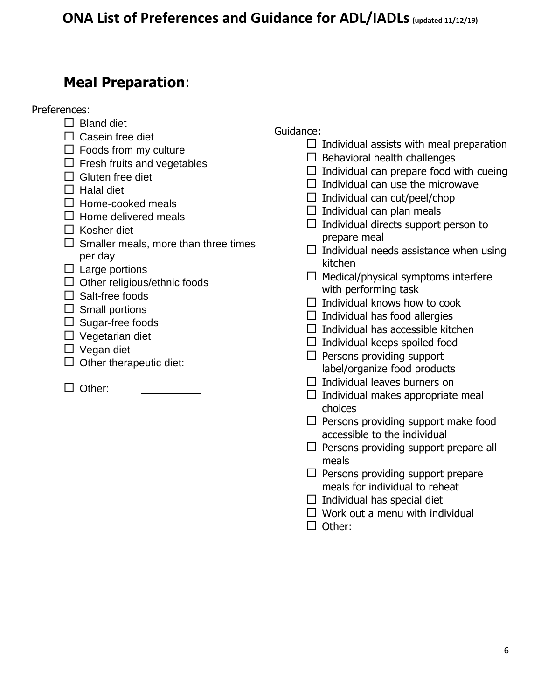## **Meal Preparation**:

Preferences:

- $\Box$  Bland diet
- $\Box$  Casein free diet
- $\Box$  Foods from my culture
- $\Box$  Fresh fruits and vegetables
- $\Box$  Gluten free diet
- $\Box$  Halal diet
- $\Box$  Home-cooked meals
- $\Box$  Home delivered meals
- $\Box$  Kosher diet
- $\square$  Smaller meals, more than three times per day
- $\Box$  Large portions
- $\Box$  Other religious/ethnic foods
- $\square$  Salt-free foods
- $\square$  Small portions
- $\Box$  Sugar-free foods
- $\Box$  Vegetarian diet
- □ Vegan diet
- $\Box$  Other therapeutic diet:
- $\Box$  Other:

- $\Box$  Individual assists with meal preparation
- $\Box$  Behavioral health challenges
- $\Box$  Individual can prepare food with cueing
- $\Box$  Individual can use the microwave
- $\Box$  Individual can cut/peel/chop
- $\Box$  Individual can plan meals
- $\Box$  Individual directs support person to prepare meal
- $\Box$  Individual needs assistance when using kitchen
- $\Box$  Medical/physical symptoms interfere with performing task
- $\Box$  Individual knows how to cook
- $\Box$  Individual has food allergies
- $\Box$  Individual has accessible kitchen
- $\Box$  Individual keeps spoiled food
- $\Box$  Persons providing support label/organize food products
- $\Box$  Individual leaves burners on
- $\Box$  Individual makes appropriate meal choices
- $\Box$  Persons providing support make food accessible to the individual
- $\Box$  Persons providing support prepare all meals
- $\Box$  Persons providing support prepare meals for individual to reheat
- $\Box$  Individual has special diet
- $\Box$  Work out a menu with individual
- Other: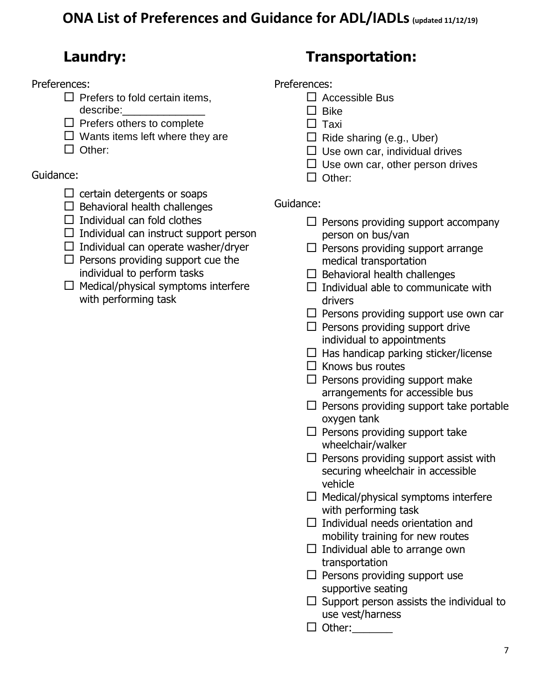# **Laundry:**

Preferences:

- $\Box$  Prefers to fold certain items, describe:
- $\Box$  Prefers others to complete
- $\Box$  Wants items left where they are
- □ Other:

Guidance:

- $\Box$  certain detergents or soaps
- $\Box$  Behavioral health challenges
- $\Box$  Individual can fold clothes
- $\Box$  Individual can instruct support person

 $\Box$  Individual can operate washer/dryer

- $\Box$  Persons providing support cue the individual to perform tasks
- $\Box$  Medical/physical symptoms interfere with performing task

# **Transportation:**

#### Preferences:

- $\Box$  Accessible Bus
- $\Box$  Bike
	- $\square$  Taxi
	- $\Box$  Ride sharing (e.g., Uber)
	- $\Box$  Use own car, individual drives
	- $\Box$  Use own car, other person drives
	- $\Box$  Other:

- $\Box$  Persons providing support accompany person on bus/van
- $\Box$  Persons providing support arrange medical transportation
- $\Box$  Behavioral health challenges
- $\Box$  Individual able to communicate with drivers
- $\Box$  Persons providing support use own car
- $\Box$  Persons providing support drive individual to appointments
- $\Box$  Has handicap parking sticker/license
- $\Box$  Knows bus routes
- $\Box$  Persons providing support make arrangements for accessible bus
- $\Box$  Persons providing support take portable oxygen tank
- $\Box$  Persons providing support take wheelchair/walker
- $\square$  Persons providing support assist with securing wheelchair in accessible vehicle
- $\Box$  Medical/physical symptoms interfere with performing task
- $\Box$  Individual needs orientation and mobility training for new routes
- $\Box$  Individual able to arrange own transportation
- $\Box$  Persons providing support use supportive seating
- $\Box$  Support person assists the individual to use vest/harness
- □ Other:\_\_\_\_\_\_\_